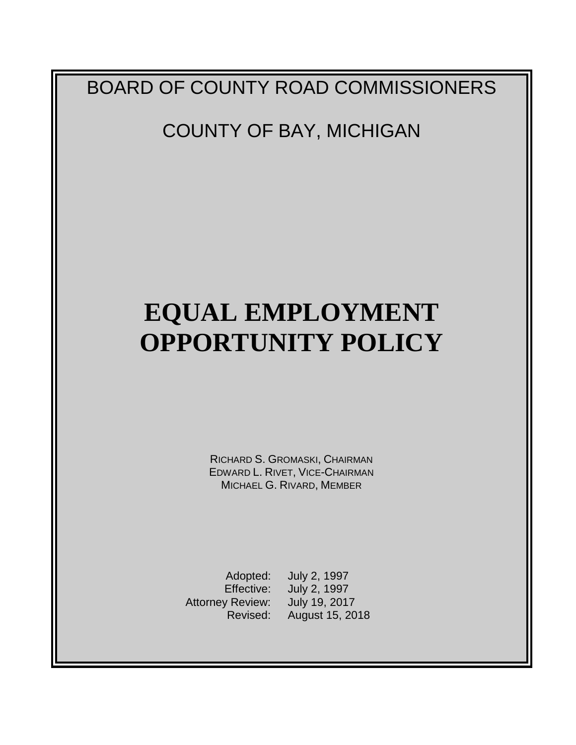## BOARD OF COUNTY ROAD COMMISSIONERS

## COUNTY OF BAY, MICHIGAN

# **EQUAL EMPLOYMENT OPPORTUNITY POLICY**

RICHARD S. GROMASKI, CHAIRMAN EDWARD L. RIVET, VICE-CHAIRMAN MICHAEL G. RIVARD, MEMBER

Adopted: July 2, 1997<br>Effective: July 2, 1997 Attorney Review: July 19, 2017 Revised: August 15, 2018

July 2, 1997